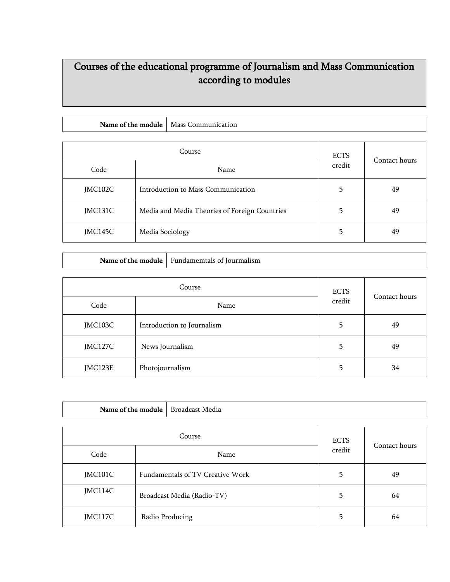## Courses of the educational programme of Journalism and Mass Communication according to modules

| <b>Name</b>  |                 |
|--------------|-----------------|
| : the module | Mass (          |
| ot :         | . .ommunication |

| Course  |                                               | <b>ECTS</b> | Contact hours |
|---------|-----------------------------------------------|-------------|---------------|
| Code    | Name                                          | credit      |               |
| JMC102C | Introduction to Mass Communication            | 5.          | 49            |
| JMC131C | Media and Media Theories of Foreign Countries | 5           | 49            |
| JMC145C | Media Sociology                               | 5           | 49            |

| Course  |                            | <b>ECTS</b> |               |
|---------|----------------------------|-------------|---------------|
| Code    | Name                       | credit      | Contact hours |
| JMC103C | Introduction to Journalism | 5           | 49            |
| JMC127C | News Journalism            | 5           | 49            |
| JMC123E | Photojournalism            | 5           | 34            |

Name of the module  $\vert$  Fundamemtals of Jourmalism

| Name of the module |  | Broadcast Media                  |               |    |
|--------------------|--|----------------------------------|---------------|----|
|                    |  |                                  |               |    |
| Course             |  | <b>ECTS</b>                      | Contact hours |    |
| Code               |  | Name                             | credit        |    |
| JMC101C            |  | Fundamentals of TV Creative Work | 5             | 49 |
| JMC114C            |  | Broadcast Media (Radio-TV)       | 5             | 64 |
| JMC117C            |  | Radio Producing                  | 5             | 64 |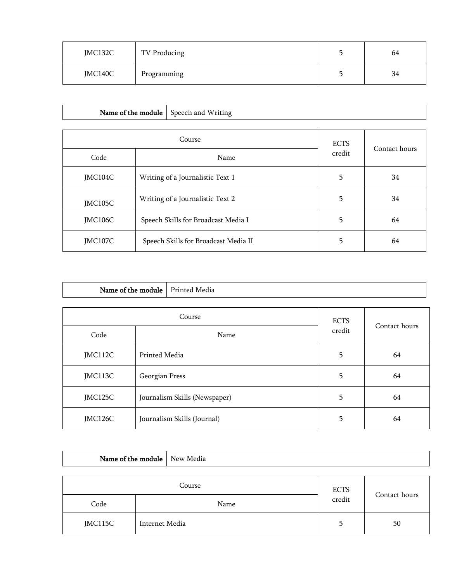| JMC132C | TV Producing | 64 |
|---------|--------------|----|
| JMC140C | Programming  | 34 |

| Name of the module |  | Speech and Writing                   |             |               |
|--------------------|--|--------------------------------------|-------------|---------------|
| Course             |  |                                      | <b>ECTS</b> |               |
| Code               |  | Name                                 | credit      | Contact hours |
| JMC104C            |  | Writing of a Journalistic Text 1     | 5           | 34            |
| JMC105C            |  | Writing of a Journalistic Text 2     | 5           | 34            |
| JMC106C            |  | Speech Skills for Broadcast Media I  | 5           | 64            |
| JMC107C            |  | Speech Skills for Broadcast Media II | 5           | 64            |

| Name of the module |  | Printed Media                 |  |               |
|--------------------|--|-------------------------------|--|---------------|
| Course             |  | <b>ECTS</b>                   |  |               |
| Code               |  | Name                          |  | Contact hours |
| JMC112C            |  | Printed Media                 |  | 64            |
| JMC113C            |  | Georgian Press                |  | 64            |
| JMC125C            |  | Journalism Skills (Newspaper) |  | 64            |
| JMC126C            |  | Journalism Skills (Journal)   |  | 64            |

| Name of the module   New Media |                |             |        |               |
|--------------------------------|----------------|-------------|--------|---------------|
|                                |                |             |        |               |
| Course                         |                | <b>ECTS</b> |        |               |
| Code                           |                | Name        | credit | Contact hours |
| JMC115C                        | Internet Media |             | 5      | 50            |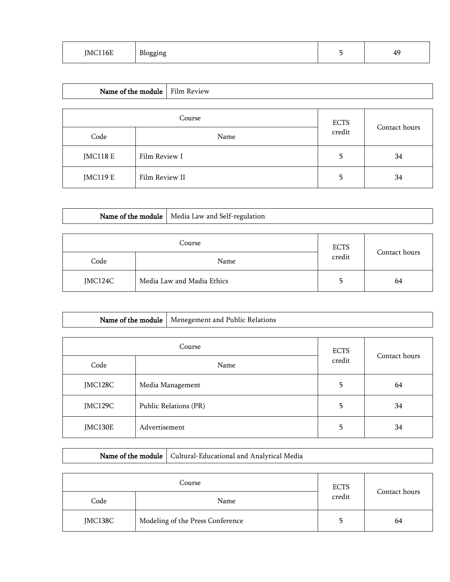| TM. | $\mathbf{D}$<br>oo<br>J | ΔC<br>-<br>ェノ |
|-----|-------------------------|---------------|
|     |                         |               |

| Name of the module   Film Review |                |             |               |    |  |
|----------------------------------|----------------|-------------|---------------|----|--|
|                                  |                |             |               |    |  |
| Course                           |                | <b>ECTS</b> | Contact hours |    |  |
| Code                             |                | Name        | credit        |    |  |
| <b>JMC118 E</b>                  | Film Review I  |             | 5             | 34 |  |
| <b>JMC119 E</b>                  | Film Review II |             | 5             | 34 |  |

|         |  | Name of the module   Media Law and Self-regulation |        |               |
|---------|--|----------------------------------------------------|--------|---------------|
|         |  |                                                    |        |               |
| Course  |  | <b>ECTS</b>                                        |        |               |
| Code    |  | Name                                               | credit | Contact hours |
| JMC124C |  | Media Law and Madia Ethics                         | 5.     | 64            |

|      | Name of the module   Menegement and Public Relations |                       |               |
|------|------------------------------------------------------|-----------------------|---------------|
|      | Course                                               |                       |               |
| Code | Name                                                 | <b>ECTS</b><br>credit | Contact hours |

| JMC128C | Media Management      |  | 64 |
|---------|-----------------------|--|----|
| JMC129C | Public Relations (PR) |  | 34 |
| JMC130E | Advertisement         |  | 34 |

| Course  |                                  | <b>ECTS</b> |               |
|---------|----------------------------------|-------------|---------------|
| Code    | Name                             | credit      | Contact hours |
| JMC138C | Modeling of the Press Conference | כ           | 64            |

Name of the module  $\Big|$  Cultural-Educational and Analytical Media